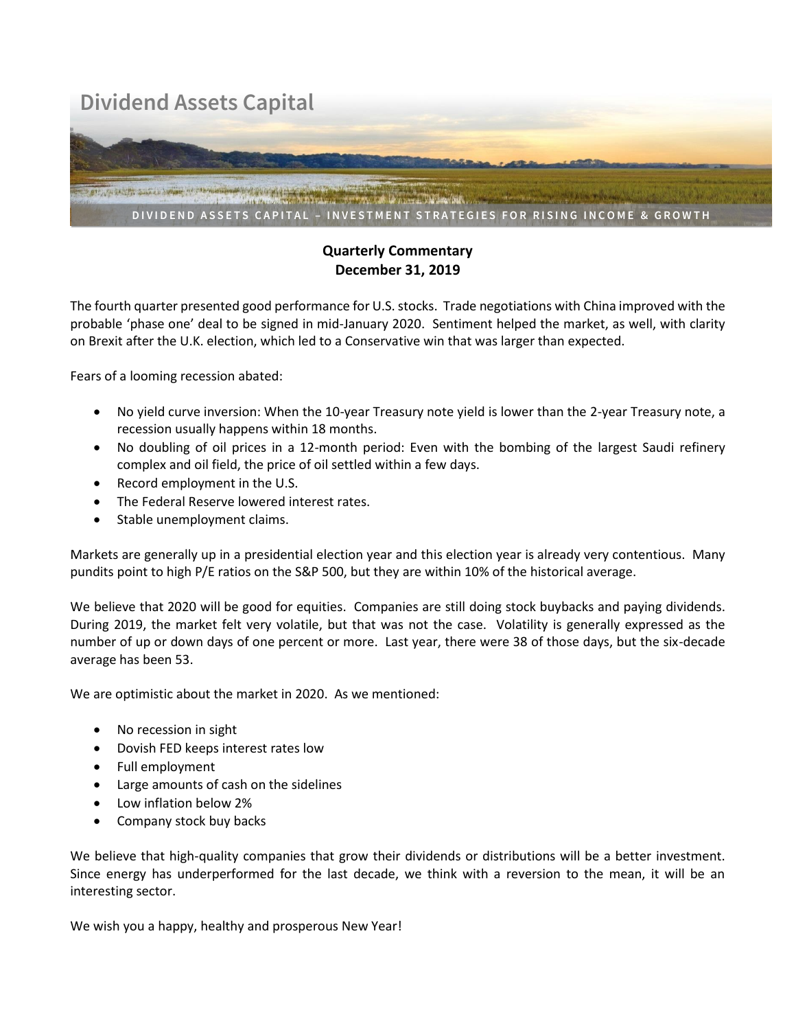## **Dividend Assets Capital**



## **Quarterly Commentary December 31, 2019**

The fourth quarter presented good performance for U.S. stocks. Trade negotiations with China improved with the probable 'phase one' deal to be signed in mid-January 2020. Sentiment helped the market, as well, with clarity on Brexit after the U.K. election, which led to a Conservative win that was larger than expected.

Fears of a looming recession abated:

- No yield curve inversion: When the 10-year Treasury note yield is lower than the 2-year Treasury note, a recession usually happens within 18 months.
- No doubling of oil prices in a 12-month period: Even with the bombing of the largest Saudi refinery complex and oil field, the price of oil settled within a few days.
- Record employment in the U.S.
- The Federal Reserve lowered interest rates.
- Stable unemployment claims.

Markets are generally up in a presidential election year and this election year is already very contentious. Many pundits point to high P/E ratios on the S&P 500, but they are within 10% of the historical average.

We believe that 2020 will be good for equities. Companies are still doing stock buybacks and paying dividends. During 2019, the market felt very volatile, but that was not the case. Volatility is generally expressed as the number of up or down days of one percent or more. Last year, there were 38 of those days, but the six-decade average has been 53.

We are optimistic about the market in 2020. As we mentioned:

- No recession in sight
- Dovish FED keeps interest rates low
- Full employment
- Large amounts of cash on the sidelines
- Low inflation below 2%
- Company stock buy backs

We believe that high-quality companies that grow their dividends or distributions will be a better investment. Since energy has underperformed for the last decade, we think with a reversion to the mean, it will be an interesting sector.

We wish you a happy, healthy and prosperous New Year!